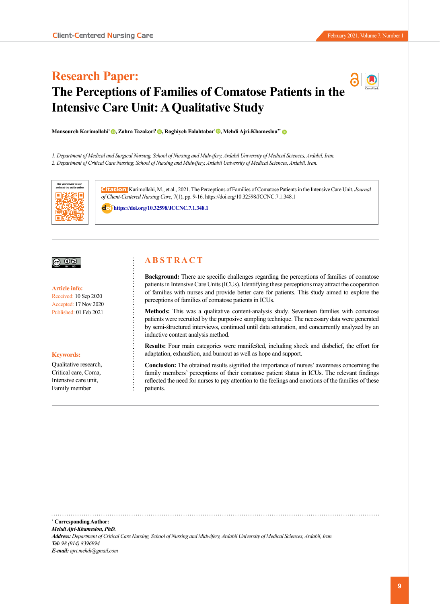# **Research Paper: The Perceptions of Families of Comatose Patients in the Intensive Care Unit: A Qualitative Study**

**Mansoureh Karimollahi<sup>1</sup> ©[,](https://orcid.org/0000-0003-3146-2227) Zahra Tazakori<sup>1</sup> ©, Roghiyeh Falahtabar<sup>1</sup> ©, Mehdi Ajri-Khameslou<sup>2</sup>[\\*](https://orcid.org/0000-0002-0967-594X) ©** 

*1. Department of Medical and Surgical Nursing, School of Nursing and Midwifery, Ardabil University of Medical Sciences, Ardabil, Iran. 2. Department of Critical Care Nursing, School of Nursing and Midwifery, Ardabil University of Medical Sciences, Ardabil, Iran.*



**Citation:** Karimollahi, M., et al., 2021. The Perceptions of Families of Comatose Patients in the Intensive Care Unit. *Journal of Client-Centered Nursing Care*, 7(1), pp. 9-16. https://doi.org/10.32598/JCCNC.7.1.348.1

: **<https://doi.org/10.32598/JCCNC.7.1.348.1>**



**Article info:** Received: 10 Sep 2020 Accepted: 17 Nov 2020 Published: 01 Feb 2021

#### **Keywords:**

Qualitative research, Critical care, Coma, Intensive care unit, Family member

# **A B S T R A C T**

**Background:** There are specific challenges regarding the perceptions of families of comatose patients in Intensive Care Units (ICUs). Identifying these perceptions may attract the cooperation of families with nurses and provide better care for patients. This study aimed to explore the perceptions of families of comatose patients in ICUs.

**Methods:** This was a qualitative content-analysis study. Seventeen families with comatose patients were recruited by the purposive sampling technique. The necessary data were generated by semi-structured interviews, continued until data saturation, and concurrently analyzed by an inductive content analysis method.

**Results:** Four main categories were manifested, including shock and disbelief, the effort for adaptation, exhaustion, and burnout as well as hope and support.

**Conclusion:** The obtained results signified the importance of nurses' awareness concerning the family members' perceptions of their comatose patient status in ICUs. The relevant findings reflected the need for nurses to pay attention to the feelings and emotions of the families of these patients.

**\* Corresponding Author:** *Mehdi Ajri-Khameslou, PhD. Address: Department of Critical Care Nursing, School of Nursing and Midwifery, Ardabil University of Medical Sciences, Ardabil, Iran. Tel: 98 (914) 8396994 E-mail: ajri.mehdi@gmail.com*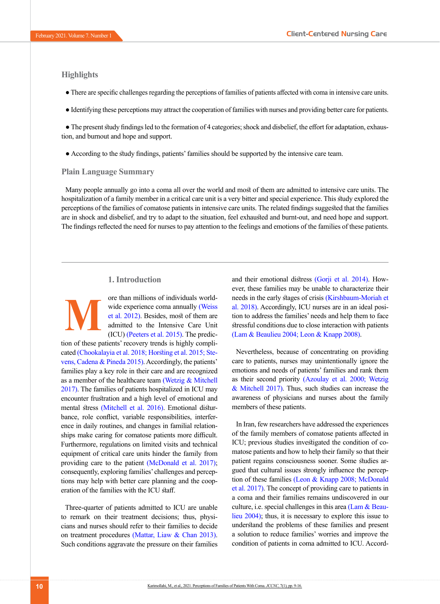# **Highlights**

**M**

- There are specific challenges regarding the perceptions of families of patients affected with coma in intensive care units.
- Identifying these perceptions may attract the cooperation of families with nurses and providing better care for patients.

● The present study findings led to the formation of 4 categories; shock and disbelief, the effort for adaptation, exhaustion, and burnout and hope and support.

● According to the study findings, patients' families should be supported by the intensive care team.

## **Plain Language Summary**

Many people annually go into a coma all over the world and most of them are admitted to intensive care units. The hospitalization of a family member in a critical care unit is a very bitter and special experience. This study explored the perceptions of the families of comatose patients in intensive care units. The related findings suggested that the families are in shock and disbelief, and try to adapt to the situation, feel exhausted and burnt-out, and need hope and support. The findings reflected the need for nurses to pay attention to the feelings and emotions of the families of these patients.

# **1. Introduction**

ore than millions of individuals worldwide experience coma annually [\(Weiss](#page-7-0)  [et al. 2012\)](#page-7-0). Besides, most of them are admitted to the Intensive Care Unit (ICU) [\(Peeters et al. 2015\)](#page-7-1). The predic-

tion of these patients' recovery trends is highly complicated [\(Chookalayia et al. 2018;](#page-6-0) [Horsting et al. 2015;](#page-6-1) [Ste](#page-7-2)[vens, Cadena & Pineda 2015\).](#page-7-2) Accordingly, the patients' families play a key role in their care and are recognized as a member of the healthcare team [\(Wetzig & Mitchell](#page-7-3)  [2017\)](#page-7-3). The families of patients hospitalized in ICU may encounter frustration and a high level of emotional and mental stress [\(Mitchell et al. 2016\)](#page-7-4). Emotional disturbance, role conflict, variable responsibilities, interference in daily routines, and changes in familial relationships make caring for comatose patients more difficult. Furthermore, regulations on limited visits and technical equipment of critical care units hinder the family from providing care to the patient (McDonald et al. 2017); consequently, exploring families' challenges and perceptions may help with better care planning and the cooperation of the families with the ICU staff.

Three-quarter of patients admitted to ICU are unable to remark on their treatment decisions; thus, physicians and nurses should refer to their families to decide on treatment procedures (Mattar, Liaw & Chan 2013). Such conditions aggravate the pressure on their families and their emotional distress [\(Gorji et al. 2014\)](#page-6-2). However, these families may be unable to characterize their needs in the early stages of crisis (Kirshbaum‐Moriah et al. 2018). Accordingly, ICU nurses are in an ideal position to address the families' needs and help them to face stressful conditions due to close interaction with patients (Lam & Beaulieu 2004; [Leon & Knapp 2008\)](#page-6-3).

Nevertheless, because of concentrating on providing care to patients, nurses may unintentionally ignore the emotions and needs of patients' families and rank them as their second priority [\(Azoulay et al. 2000;](#page-6-4) [Wetzig](#page-7-3)  [& Mitchell 2017\).](#page-7-3) Thus, such studies can increase the awareness of physicians and nurses about the family members of these patients.

In Iran, few researchers have addressed the experiences of the family members of comatose patients affected in ICU; previous studies investigated the condition of comatose patients and how to help their family so that their patient regains consciousness sooner. Some studies argued that cultural issues strongly influence the perception of these families [\(Leon & Knapp 2008;](#page-6-3) McDonald et al. 2017). The concept of providing care to patients in a coma and their families remains undiscovered in our culture, i.e. special challenges in this area (Lam & Beaulieu 2004); thus, it is necessary to explore this issue to understand the problems of these families and present a solution to reduce families' worries and improve the condition of patients in coma admitted to ICU. Accord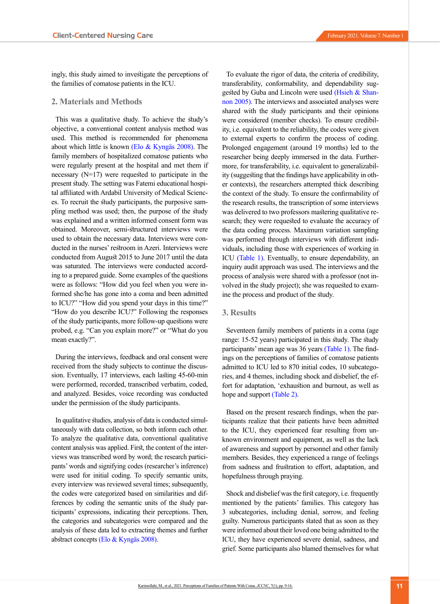ingly, this study aimed to investigate the perceptions of the families of comatose patients in the ICU.

## **2. Materials and Methods**

This was a qualitative study. To achieve the study's objective, a conventional content analysis method was used. This method is recommended for phenomena about which little is known (Elo & Kyngäs 2008). The family members of hospitalized comatose patients who were regularly present at the hospital and met them if necessary (N=17) were requested to participate in the present study. The setting was Fatemi educational hospital affiliated with Ardabil University of Medical Sciences. To recruit the study participants, the purposive sampling method was used; then, the purpose of the study was explained and a written informed consent form was obtained. Moreover, semi-structured interviews were used to obtain the necessary data. Interviews were conducted in the nurses' restroom in Azeri. Interviews were conducted from August 2015 to June 2017 until the data was saturated. The interviews were conducted according to a prepared guide. Some examples of the questions were as follows: "How did you feel when you were informed she/he has gone into a coma and been admitted to ICU?" "How did you spend your days in this time?" "How do you describe ICU?" Following the responses of the study participants, more follow-up questions were probed, e.g. "Can you explain more?" or "What do you mean exactly?".

During the interviews, feedback and oral consent were received from the study subjects to continue the discussion. Eventually, 17 interviews, each lasting 45-60-min were performed, recorded, transcribed verbatim, coded, and analyzed. Besides, voice recording was conducted under the permission of the study participants.

In qualitative studies, analysis of data is conducted simultaneously with data collection, so both inform each other. To analyze the qualitative data, conventional qualitative content analysis was applied. First, the content of the interviews was transcribed word by word; the research participants' words and signifying codes (researcher's inference) were used for initial coding. To specify semantic units, every interview was reviewed several times; subsequently, the codes were categorized based on similarities and differences by coding the semantic units of the study participants' expressions, indicating their perceptions. Then, the categories and subcategories were compared and the analysis of these data led to extracting themes and further abstract concepts (Elo & Kyngäs 2008).

To evaluate the rigor of data, the criteria of credibility, transferability, conformability, and dependability suggested by Guba and Lincoln were used [\(Hsieh & Shan](#page-6-5)[non 2005\).](#page-6-5) The interviews and associated analyses were shared with the study participants and their opinions were considered (member checks). To ensure credibility, i.e. equivalent to the reliability, the codes were given to external experts to confirm the process of coding. Prolonged engagement (around 19 months) led to the researcher being deeply immersed in the data. Furthermore, for transferability, i.e. equivalent to generalizability (suggesting that the findings have applicability in other contexts), the researchers attempted thick describing the context of the study. To ensure the confirmability of the research results, the transcription of some interviews was delivered to two professors mastering qualitative research; they were requested to evaluate the accuracy of the data coding process. Maximum variation sampling was performed through interviews with different individuals, including those with experiences of working in ICU [\(Table 1\).](#page-3-0) Eventually, to ensure dependability, an inquiry audit approach was used. The interviews and the process of analysis were shared with a professor (not involved in the study project); she was requested to examine the process and product of the study.

## **3. Results**

Seventeen family members of patients in a coma (age range: 15-52 years) participated in this study. The study participants' mean age was 36 years [\(Table 1\)](#page-3-0). The findings on the perceptions of families of comatose patients admitted to ICU led to 870 initial codes, 10 subcategories, and 4 themes, including shock and disbelief, the effort for adaptation, 'exhaustion and burnout, as well as hope and support [\(Table 2\)](#page-4-0).

Based on the present research findings, when the participants realize that their patients have been admitted to the ICU, they experienced fear resulting from unknown environment and equipment, as well as the lack of awareness and support by personnel and other family members. Besides, they experienced a range of feelings from sadness and frustration to effort, adaptation, and hopefulness through praying.

Shock and disbelief was the first category, i.e. frequently mentioned by the patients' families. This category has 3 subcategories, including denial, sorrow, and feeling guilty. Numerous participants stated that as soon as they were informed about their loved one being admitted to the ICU, they have experienced severe denial, sadness, and grief. Some participants also blamed themselves for what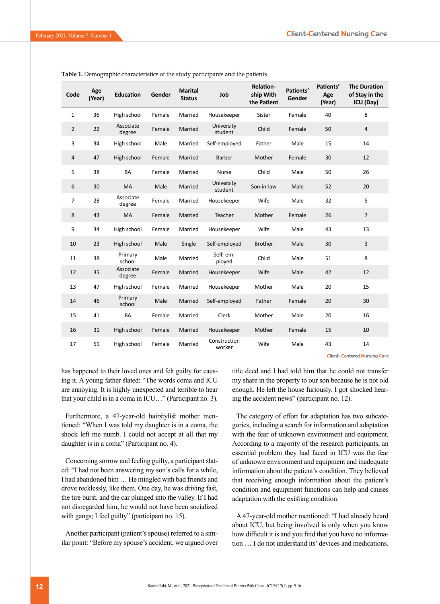| Code           | Age<br>(Year) | <b>Education</b>    | Gender | <b>Marital</b><br><b>Status</b> | Job                    | Relation-<br>ship With<br>the Patient | Patients'<br>Gender | Patients'<br>Age<br>(Year) | <b>The Duration</b><br>of Stay in the<br>ICU (Day) |
|----------------|---------------|---------------------|--------|---------------------------------|------------------------|---------------------------------------|---------------------|----------------------------|----------------------------------------------------|
| $\mathbf{1}$   | 36            | High school         | Female | Married                         | Housekeeper            | Sister                                | Female              | 40                         | 8                                                  |
| $\overline{2}$ | 22            | Associate<br>degree | Female | Married                         | University<br>student  | Child                                 | Female              | 50                         | $\overline{4}$                                     |
| 3              | 34            | High school         | Male   | Married                         | Self-employed          | Father                                | Male                | 15                         | 14                                                 |
| $\overline{4}$ | 47            | High school         | Female | Married                         | Barber                 | Mother                                | Female              | 30                         | 12                                                 |
| 5              | 38            | <b>BA</b>           | Female | Married                         | <b>Nurse</b>           | Child                                 | Male                | 50                         | 26                                                 |
| 6              | 30            | MA                  | Male   | Married                         | University<br>student  | Son-in-law                            | Male                | 52                         | 20                                                 |
| 7              | 28            | Associate<br>degree | Female | Married                         | Housekeeper            | Wife                                  | Male                | 32                         | 5                                                  |
| 8              | 43            | <b>MA</b>           | Female | Married                         | Teacher                | Mother                                | Female              | 26                         | $\overline{7}$                                     |
| 9              | 34            | High school         | Female | Married                         | Housekeeper            | Wife                                  | Male                | 43                         | 13                                                 |
| 10             | 23            | High school         | Male   | Single                          | Self-employed          | <b>Brother</b>                        | Male                | 30                         | 3                                                  |
| 11             | 38            | Primary<br>school   | Male   | Married                         | Self-em-<br>ployed     | Child                                 | Male                | 51                         | 8                                                  |
| 12             | 35            | Associate<br>degree | Female | Married                         | Housekeeper            | Wife                                  | Male                | 42                         | 12                                                 |
| 13             | 47            | High school         | Female | Married                         | Housekeeper            | Mother                                | Male                | 20                         | 15                                                 |
| 14             | 46            | Primary<br>school   | Male   | Married                         | Self-employed          | Father                                | Female              | 20                         | 30                                                 |
| 15             | 41            | <b>BA</b>           | Female | Married                         | Clerk                  | Mother                                | Male                | 20                         | 16                                                 |
| 16             | 31            | High school         | Female | Married                         | Housekeeper            | Mother                                | Female              | 15                         | 10                                                 |
| 17             | 51            | High school         | Female | Married                         | Construction<br>worker | Wife                                  | Male                | 43                         | 14                                                 |

<span id="page-3-0"></span>**Table 1.** Demographic characteristics of the study participants and the patients

**Client- Centered Nursing Care** 

has happened to their loved ones and felt guilty for causing it. A young father stated: "The words coma and ICU are annoying. It is highly unexpected and terrible to hear that your child is in a coma in ICU…" (Participant no. 3).

Furthermore, a 47-year-old hairstylist mother mentioned: "When I was told my daughter is in a coma, the shock left me numb. I could not accept at all that my daughter is in a coma" (Participant no. 4).

Concerning sorrow and feeling guilty, a participant stated: "I had not been answering my son's calls for a while, I had abandoned him … He mingled with bad friends and drove recklessly, like them. One day, he was driving fast, the tire burst, and the car plunged into the valley. If I had not disregarded him, he would not have been socialized with gangs; I feel guilty" (participant no. 15).

Another participant (patient's spouse) referred to a similar point: "Before my spouse's accident, we argued over title deed and I had told him that he could not transfer my share in the property to our son because he is not old enough. He left the house furiously. I got shocked hearing the accident news" (participant no. 12).

The category of effort for adaptation has two subcategories, including a search for information and adaptation with the fear of unknown environment and equipment. According to a majority of the research participants, an essential problem they had faced in ICU was the fear of unknown environment and equipment and inadequate information about the patient's condition. They believed that receiving enough information about the patient's condition and equipment functions can help and causes adaptation with the existing condition.

A 47-year-old mother mentioned: "I had already heard about ICU, but being involved is only when you know how difficult it is and you find that you have no information … I do not understand its' devices and medications.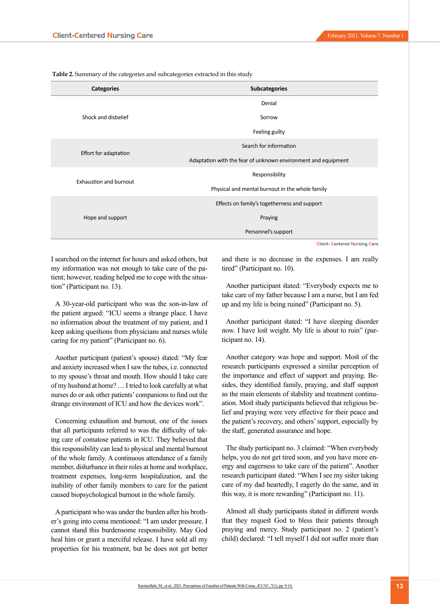<span id="page-4-0"></span> **Table 2.** Summary of the categories and subcategories extracted in this study

| <b>Categories</b>             | <b>Subcategories</b>                                          |  |  |  |  |
|-------------------------------|---------------------------------------------------------------|--|--|--|--|
|                               | Denial                                                        |  |  |  |  |
| Shock and disbelief           | Sorrow                                                        |  |  |  |  |
|                               | Feeling guilty                                                |  |  |  |  |
|                               | Search for information                                        |  |  |  |  |
| Effort for adaptation         | Adaptation with the fear of unknown environment and equipment |  |  |  |  |
| <b>Exhaustion and burnout</b> | Responsibility                                                |  |  |  |  |
|                               | Physical and mental burnout in the whole family               |  |  |  |  |
|                               | Effects on family's togetherness and support                  |  |  |  |  |
| Hope and support              | Praying                                                       |  |  |  |  |
|                               | Personnel's support                                           |  |  |  |  |

**Client- Centered Nursing Care** 

I searched on the internet for hours and asked others, but my information was not enough to take care of the patient; however, reading helped me to cope with the situation" (Participant no. 13).

A 30-year-old participant who was the son-in-law of the patient argued: "ICU seems a strange place. I have no information about the treatment of my patient, and I keep asking questions from physicians and nurses while caring for my patient" (Participant no. 6).

Another participant (patient's spouse) stated: "My fear and anxiety increased when I saw the tubes, i.e. connected to my spouse's throat and mouth. How should I take care of my husband at home? … I tried to look carefully at what nurses do or ask other patients' companions to find out the strange environment of ICU and how the devices work".

Concerning exhaustion and burnout, one of the issues that all participants referred to was the difficulty of taking care of comatose patients in ICU. They believed that this responsibility can lead to physical and mental burnout of the whole family. A continuous attendance of a family member, disturbance in their roles at home and workplace, treatment expenses, long-term hospitalization, and the inability of other family members to care for the patient caused biopsychological burnout in the whole family.

A participant who was under the burden after his brother's going into coma mentioned: "I am under pressure. I cannot stand this burdensome responsibility. May God heal him or grant a merciful release. I have sold all my properties for his treatment, but he does not get better

and there is no decrease in the expenses. I am really tired" (Participant no. 10).

Another participant stated: "Everybody expects me to take care of my father because I am a nurse, but I am fed up and my life is being ruined" (Participant no. 5).

Another participant stated: "I have sleeping disorder now. I have lost weight. My life is about to ruin" (participant no. 14).

Another category was hope and support. Most of the research participants expressed a similar perception of the importance and effect of support and praying. Besides, they identified family, praying, and staff support as the main elements of stability and treatment continuation. Most study participants believed that religious belief and praying were very effective for their peace and the patient's recovery, and others' support, especially by the staff, generated assurance and hope.

The study participant no. 3 claimed: "When everybody helps, you do not get tired soon, and you have more energy and eagerness to take care of the patient". Another research participant stated: "When I see my sister taking care of my dad heartedly, I eagerly do the same, and in this way, it is more rewarding" (Participant no. 11).

Almost all study participants stated in different words that they request God to bless their patients through praying and mercy. Study participant no. 2 (patient's child) declared: "I tell myself I did not suffer more than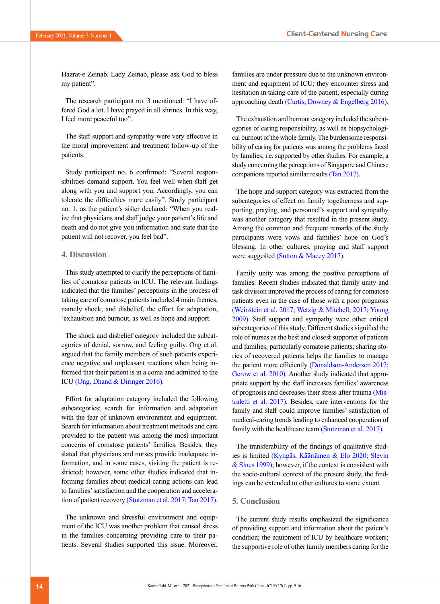Hazrat-e Zeinab. Lady Zeinab, please ask God to bless my patient".

The research participant no. 3 mentioned: "I have offered God a lot. I have prayed in all shrines. In this way, I feel more peaceful too".

The staff support and sympathy were very effective in the moral improvement and treatment follow-up of the patients.

Study participant no. 6 confirmed: "Several responsibilities demand support. You feel well when staff get along with you and support you. Accordingly, you can tolerate the difficulties more easily". Study participant no. 1, as the patient's sister declared: "When you realize that physicians and staff judge your patient's life and death and do not give you information and state that the patient will not recover, you feel bad".

## **4. Discussion**

This study attempted to clarify the perceptions of families of comatose patients in ICU. The relevant findings indicated that the families' perceptions in the process of taking care of comatose patients included 4 main themes, namely shock, and disbelief, the effort for adaptation, 'exhaustion and burnout, as well as hope and support.

The shock and disbelief category included the subcategories of denial, sorrow, and feeling guilty. Ong et al. argued that the family members of such patients experience negative and unpleasant reactions when being informed that their patient is in a coma and admitted to the ICU [\(Ong, Dhand & Diringer 2016\)](#page-7-5).

Effort for adaptation category included the following subcategories: search for information and adaptation with the fear of unknown environment and equipment. Search for information about treatment methods and care provided to the patient was among the most important concerns of comatose patients' families. Besides, they stated that physicians and nurses provide inadequate information, and in some cases, visiting the patient is restricted; however, some other studies indicated that informing families about medical-caring actions can lead to families' satisfaction and the cooperation and acceleration of patient recovery [\(Stutzman et al. 2017;](#page-7-6) [Tan 2017\)](#page-7-7).

The unknown and stressful environment and equipment of the ICU was another problem that caused stress in the families concerning providing care to their patients. Several studies supported this issue. Moreover,

families are under pressure due to the unknown environment and equipment of ICU; they encounter stress and hesitation in taking care of the patient, especially during approaching death [\(Curtis, Downey & Engelberg 2016\)](#page-6-6).

The exhaustion and burnout category included the subcategories of caring responsibility, as well as biopsychological burnout of the whole family. The burdensome responsibility of caring for patients was among the problems faced by families, i.e. supported by other studies. For example, a study concerning the perceptions of Singapore and Chinese companions reported similar results [\(Tan 2017\)](#page-7-7).

The hope and support category was extracted from the subcategories of effect on family togetherness and supporting, praying, and personnel's support and sympathy was another category that resulted in the present study. Among the common and frequent remarks of the study participants were vows and families' hope on God's blessing. In other cultures, praying and staff support were suggested [\(Sutton & Macey 2017\)](#page-7-8).

Family unity was among the positive perceptions of families. Recent studies indicated that family unity and task division improved the process of caring for comatose patients even in the case of those with a poor prognosis [\(Weinstein et al. 2017;](#page-7-9) [Wetzig & Mitchell, 2017;](#page-7-3) [Young](#page-7-10)  [2009\)](#page-7-10). Staff support and sympathy were other critical subcategories of this study. Different studies signified the role of nurses as the best and closest supporter of patients and families, particularly comatose patients; sharing stories of recovered patients helps the families to manage the patient more efficiently (Donaldson-Andersen 2017; Gerow et al. 2010). Another study indicated that appropriate support by the staff increases families' awareness of prognosis and decreases their stress after trauma [\(Mis](#page-7-11)[traletti et al. 2017\)](#page-7-11). Besides, care interventions for the family and staff could improve families' satisfaction of medical-caring trends leading to enhanced cooperation of family with the healthcare team [\(Stutzman et al. 2017\)](#page-7-6).

The transferability of the findings of qualitative studies is limited (Kyngäs, Kääriäinen & Elo 2020; [Slevin](#page-7-12)  [& Sines 1999\)](#page-7-12); however, if the context is consistent with the socio-cultural context of the present study, the findings can be extended to other cultures to some extent.

## **5. Conclusion**

The current study results emphasized the significance of providing support and information about the patient's condition; the equipment of ICU by healthcare workers; the supportive role of other family members caring for the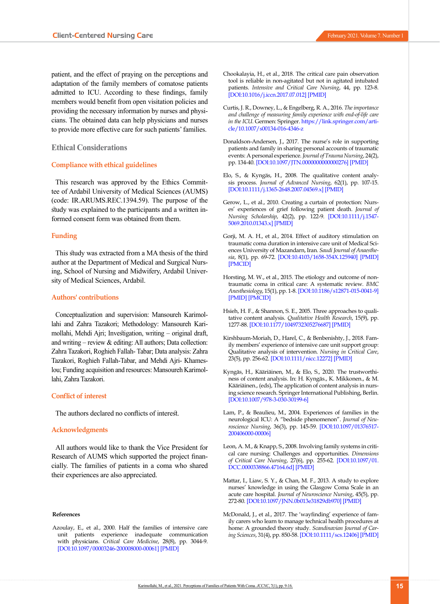patient, and the effect of praying on the perceptions and adaptation of the family members of comatose patients admitted to ICU. According to these findings, family members would benefit from open visitation policies and providing the necessary information by nurses and physicians. The obtained data can help physicians and nurses to provide more effective care for such patients' families.

## **Ethical Considerations**

## **Compliance with ethical guidelines**

This research was approved by the Ethics Committee of Ardabil University of Medical Sciences (AUMS) (code: IR.ARUMS.REC.1394.59). The purpose of the study was explained to the participants and a written informed consent form was obtained from them.

## **Funding**

This study was extracted from a MA thesis of the third author at the Department of Medical and Surgical Nursing, School of Nursing and Midwifery, Ardabil University of Medical Sciences, Ardabil.

#### **Authors' contributions**

Conceptualization and supervision: Mansoureh Karimollahi and Zahra Tazakori; Methodology: Mansoureh Karimollahi, Mehdi Ajri; Investigation, writing – original draft, and writing – review  $&$  editing: All authors; Data collection: Zahra Tazakori, Roghieh Fallah- Tabar; Data analysis: Zahra Tazakori, Roghieh Fallah-Tabar, and Mehdi Ajri- Khameslou; Funding acquisition and resources: Mansoureh Karimollahi, Zahra Tazakori.

#### **Conflict of interest**

The authors declared no conflicts of interest.

#### **Acknowledgments**

All authors would like to thank the Vice President for Research of AUMS which supported the project financially. The families of patients in a coma who shared their experiences are also appreciated.

#### **References**

<span id="page-6-4"></span>Azoulay, E., et al., 2000. Half the families of intensive care unit patients experience inadequate communication with physicians. *Critical Care Medicine*, 28(8), pp. 3044-9. [\[DOI:10.1097/00003246-200008000-00061\]](https://doi.org/10.1097/00003246-200008000-00061) [[PMID](https://www.ncbi.nlm.nih.gov/pubmed/10966293)]

- <span id="page-6-6"></span><span id="page-6-0"></span>Curtis, J. R., Downey, L., & Engelberg, R. A., 2016. *The importance and challenge of measuring family experience with end-of-life care in the ICU*. Germen: Springer. [https://link.springer.com/arti](https://link.springer.com/article/10.1007/s00134-016-4346-z)[cle/10.1007/s00134-016-4346-z](https://link.springer.com/article/10.1007/s00134-016-4346-z)
- Donaldson-Andersen, J., 2017. The nurse's role in supporting patients and family in sharing personal accounts of traumatic events: A personal experience. *Journal of Trauma Nursing*, 24(2), pp. 134-40. [\[DOI:10.1097/JTN.0000000000000276](https://doi.org/10.1097/JTN.0000000000000276)] [\[PMID\]](https://www.ncbi.nlm.nih.gov/pubmed/28272188)
- Elo, S., & Kyngäs, H., 2008. The qualitative content analysis process. *Journal of Advanced Nursing*, 62(1), pp. 107-15. [\[DOI:10.1111/j.1365-2648.2007.04569.x\]](https://doi.org/10.1111/j.1365-2648.2007.04569.x) [[PMID](https://www.ncbi.nlm.nih.gov/pubmed/18352969)]
- Gerow, L., et al., 2010. Creating a curtain of protection: Nurses' experiences of grief following patient death. *Journal of Nursing Scholarship*, 42(2), pp. 122-9. [\[DOI:10.1111/j.1547-](https://doi.org/10.1111/j.1547-5069.2010.01343.x) [5069.2010.01343.x\]](https://doi.org/10.1111/j.1547-5069.2010.01343.x) [[PMID](https://www.ncbi.nlm.nih.gov/pubmed/20618596)]
- <span id="page-6-2"></span>Gorji, M. A. H., et al., 2014. Effect of auditory stimulation on traumatic coma duration in intensive care unit of Medical Sciences University of Mazandarn, Iran. *Saudi Journal of Anaesthesia*, 8(1), pp. 69-72. [[DOI:10.4103/1658-354X.125940](https://doi.org/10.4103/1658-354X.125940)] [[PMID](https://www.ncbi.nlm.nih.gov/pubmed/24665243)] [\[PMCID](http://www.ncbi.nlm.nih.gov/pmc/articles/PMC3950457)]
- <span id="page-6-1"></span>Horsting, M. W., et al., 2015. The etiology and outcome of nontraumatic coma in critical care: A systematic review. *BMC Anesthesiology*, 15(1), pp. 1-8. [\[DOI:10.1186/s12871-015-0041-9](https://doi.org/10.1186/s12871-015-0041-9)] [\[PMID\]](https://www.ncbi.nlm.nih.gov/pubmed/25924678) [[PMCID\]](http://www.ncbi.nlm.nih.gov/pmc/articles/PMC4424591)
- <span id="page-6-5"></span>Hsieh, H. F., & Shannon, S. E., 2005. Three approaches to qualitative content analysis. *Qualitative Health Research*, 15(9), pp. 1277-88. [\[DOI:10.1177/1049732305276687\]](https://doi.org/10.1177/1049732305276687) [[PMID](https://www.ncbi.nlm.nih.gov/pubmed/16204405)]
- Kirshbaum‐Moriah, D., Harel, C., & Benbenishty, J., 2018. Family members' experience of intensive care unit support group: Qualitative analysis of intervention. *Nursing in Critical Care*, 23(5), pp. 256-62. [[DOI:10.1111/nicc.12272](https://doi.org/10.1111/nicc.12272)] [\[PMID\]](https://www.ncbi.nlm.nih.gov/pubmed/28008695)
- Kyngäs, H., Kääriäinen, M., & Elo, S., 2020. The trustworthiness of content analysis. In: H. Kyngäs., K. Mikkonen., & M. Kääriäinen., (eds), The application of content analysis in nursing science research. Springer International Publishing, Berlin. [\[DOI:10.1007/978-3-030-30199-6](https://doi.org/10.1007/978-3-030-30199-6)]
- Lam, P., & Beaulieu, M., 2004. Experiences of families in the neurological ICU: A "bedside phenomenon". *Journal of Neuroscience Nursing*, 36(3), pp. 145-59. [\[DOI:10.1097/01376517-](https://doi.org/10.1097/01376517-200406000-00006) [200406000-00006\]](https://doi.org/10.1097/01376517-200406000-00006)
- <span id="page-6-3"></span>Leon, A. M., & Knapp, S., 2008. Involving family systems in critical care nursing: Challenges and opportunities. *Dimensions of Critical Care Nursing*, 27(6), pp. 255-62. [\[DOI:10.1097/01.](https://doi.org/10.1097/01.DCC.0000338866.47164.6d) [DCC.0000338866.47164.6d](https://doi.org/10.1097/01.DCC.0000338866.47164.6d)] [\[PMID\]](https://www.ncbi.nlm.nih.gov/pubmed/18953193)
- Mattar, I., Liaw, S. Y., & Chan, M. F., 2013. A study to explore nurses' knowledge in using the Glasgow Coma Scale in an acute care hospital. *Journal of Neuroscience Nursing*, 45(5), pp. 272-80. [\[DOI:10.1097/JNN.0b013e31829db970\]](https://doi.org/10.1097/JNN.0b013e31829db970) [[PMID](https://www.ncbi.nlm.nih.gov/pubmed/24025466)]
- McDonald, J., et al., 2017. The 'wayfinding' experience of family carers who learn to manage technical health procedures at home: A grounded theory study. *Scandinavian Journal of Caring Sciences*, 31(4), pp. 850-58. [\[DOI:10.1111/scs.12406\]](https://doi.org/10.1111/scs.12406) [[PMID](https://www.ncbi.nlm.nih.gov/pubmed/28124508)]